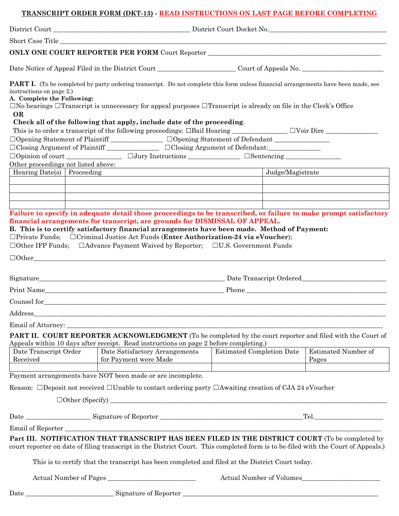# **TRANSCRIPT ORDER FORM (DKT-13) - READ INSTRUCTIONS ON LAST PAGE BEFORE COMPLETING**

|                                                                                                                                           |                       | Short Case Title <u>Contract Case of</u> the Contract of the Contract of the Contract of the Contract of the Contract of the Contract of the Contract of the Contract of the Contract of the Contract of the Contract of the Contra |  |                                                                                                                                                                                                                                                                                                                                                                                                                                                                                                                                                                                                                             |                  |                                                                                                                                                                                                                                                                |  |
|-------------------------------------------------------------------------------------------------------------------------------------------|-----------------------|-------------------------------------------------------------------------------------------------------------------------------------------------------------------------------------------------------------------------------------|--|-----------------------------------------------------------------------------------------------------------------------------------------------------------------------------------------------------------------------------------------------------------------------------------------------------------------------------------------------------------------------------------------------------------------------------------------------------------------------------------------------------------------------------------------------------------------------------------------------------------------------------|------------------|----------------------------------------------------------------------------------------------------------------------------------------------------------------------------------------------------------------------------------------------------------------|--|
|                                                                                                                                           |                       |                                                                                                                                                                                                                                     |  |                                                                                                                                                                                                                                                                                                                                                                                                                                                                                                                                                                                                                             |                  | <b>ONLY ONE COURT REPORTER PER FORM</b> Court Reporter <b>COURT AND THE COURT REPORTER PER FORM</b> Court Reporter                                                                                                                                             |  |
| Date Notice of Appeal Filed in the District Court ______________________________Court of Appeals No.                                      |                       |                                                                                                                                                                                                                                     |  |                                                                                                                                                                                                                                                                                                                                                                                                                                                                                                                                                                                                                             |                  |                                                                                                                                                                                                                                                                |  |
| instructions on page 2.)<br>A. Complete the Following:<br>OR<br>Other proceedings not listed above:<br>Hearing Date(s) $\vert$ Proceeding |                       | Check all of the following that apply, include date of the proceeding.                                                                                                                                                              |  | $\square$ No hearings $\square$ Transcript is unnecessary for appeal purposes $\square$ Transcript is already on file in the Clerk's Office<br>□Opening Statement of Plaintiff ______________ □Opening Statement of Defendant _____________<br>□Closing Argument of Plaintiff _______________ □Closing Argument of Defendant:_____________<br>financial arrangements for transcript, are grounds for DISMISSAL OF APPEAL.<br>B. This is to certify satisfactory financial arrangements have been made. Method of Payment:<br>$\Box$ Private Funds; $\Box$ Criminal Justice Act Funds (Enter Authorization-24 via eVoucher); | Judge/Magistrate | <b>PART I.</b> (To be completed by party ordering transcript. Do not complete this form unless financial arrangements have been made, see<br>Failure to specify in adequate detail those proceedings to be transcribed, or failure to make prompt satisfactory |  |
|                                                                                                                                           |                       |                                                                                                                                                                                                                                     |  | □Other IFP Funds; □Advance Payment Waived by Reporter; □U.S. Government Funds                                                                                                                                                                                                                                                                                                                                                                                                                                                                                                                                               |                  |                                                                                                                                                                                                                                                                |  |
|                                                                                                                                           |                       |                                                                                                                                                                                                                                     |  |                                                                                                                                                                                                                                                                                                                                                                                                                                                                                                                                                                                                                             |                  |                                                                                                                                                                                                                                                                |  |
|                                                                                                                                           |                       |                                                                                                                                                                                                                                     |  |                                                                                                                                                                                                                                                                                                                                                                                                                                                                                                                                                                                                                             |                  |                                                                                                                                                                                                                                                                |  |
|                                                                                                                                           |                       |                                                                                                                                                                                                                                     |  |                                                                                                                                                                                                                                                                                                                                                                                                                                                                                                                                                                                                                             |                  |                                                                                                                                                                                                                                                                |  |
|                                                                                                                                           |                       |                                                                                                                                                                                                                                     |  |                                                                                                                                                                                                                                                                                                                                                                                                                                                                                                                                                                                                                             |                  |                                                                                                                                                                                                                                                                |  |
| Address_                                                                                                                                  |                       |                                                                                                                                                                                                                                     |  |                                                                                                                                                                                                                                                                                                                                                                                                                                                                                                                                                                                                                             |                  |                                                                                                                                                                                                                                                                |  |
| Email of Attorney:<br>Date Transcript Order<br>Received                                                                                   |                       | Appeals within 10 days after receipt. Read instructions on page 2 before completing.)<br>Date Satisfactory Arrangements<br>for Payment were Made                                                                                    |  | <b>Estimated Completion Date</b>                                                                                                                                                                                                                                                                                                                                                                                                                                                                                                                                                                                            |                  | <b>PART II. COURT REPORTER ACKNOWLEDGMENT</b> (To be completed by the court reporter and filed with the Court of<br>Estimated Number of<br>Pages                                                                                                               |  |
|                                                                                                                                           |                       | Payment arrangements have NOT been made or are incomplete.                                                                                                                                                                          |  |                                                                                                                                                                                                                                                                                                                                                                                                                                                                                                                                                                                                                             |                  |                                                                                                                                                                                                                                                                |  |
|                                                                                                                                           |                       |                                                                                                                                                                                                                                     |  | Reason: $\Box$ Deposit not received $\Box$ Unable to contact ordering party $\Box$ Awaiting creation of CJA 24 eVoucher                                                                                                                                                                                                                                                                                                                                                                                                                                                                                                     |                  |                                                                                                                                                                                                                                                                |  |
|                                                                                                                                           |                       |                                                                                                                                                                                                                                     |  |                                                                                                                                                                                                                                                                                                                                                                                                                                                                                                                                                                                                                             |                  |                                                                                                                                                                                                                                                                |  |
|                                                                                                                                           |                       |                                                                                                                                                                                                                                     |  |                                                                                                                                                                                                                                                                                                                                                                                                                                                                                                                                                                                                                             |                  |                                                                                                                                                                                                                                                                |  |
|                                                                                                                                           |                       |                                                                                                                                                                                                                                     |  | This is to certify that the transcript has been completed and filed at the District Court today.                                                                                                                                                                                                                                                                                                                                                                                                                                                                                                                            |                  | Part III. NOTIFICATION THAT TRANSCRIPT HAS BEEN FILED IN THE DISTRICT COURT (To be completed by<br>court reporter on date of filing transcript in the District Court. This completed form is to be-filed with the Court of Appeals.)                           |  |
| Actual Number of Pages                                                                                                                    |                       |                                                                                                                                                                                                                                     |  |                                                                                                                                                                                                                                                                                                                                                                                                                                                                                                                                                                                                                             |                  | Actual Number of Volumes                                                                                                                                                                                                                                       |  |
| Date                                                                                                                                      | Signature of Reporter |                                                                                                                                                                                                                                     |  |                                                                                                                                                                                                                                                                                                                                                                                                                                                                                                                                                                                                                             |                  |                                                                                                                                                                                                                                                                |  |